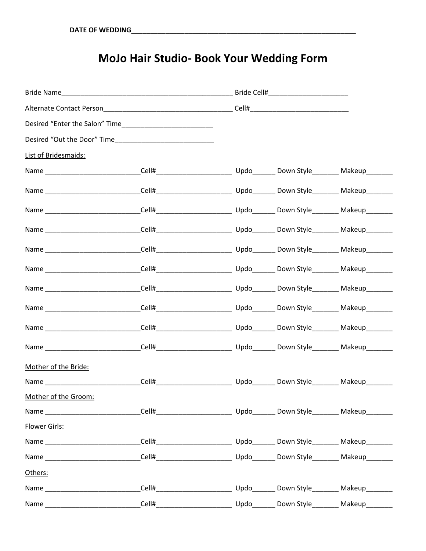## **MoJo Hair Studio- Book Your Wedding Form**

| Desired "Enter the Salon" Time |  |  |  |  |
|--------------------------------|--|--|--|--|
|                                |  |  |  |  |
| List of Bridesmaids:           |  |  |  |  |
|                                |  |  |  |  |
|                                |  |  |  |  |
|                                |  |  |  |  |
|                                |  |  |  |  |
|                                |  |  |  |  |
|                                |  |  |  |  |
|                                |  |  |  |  |
|                                |  |  |  |  |
|                                |  |  |  |  |
|                                |  |  |  |  |
| Mother of the Bride:           |  |  |  |  |
|                                |  |  |  |  |
| Mother of the Groom:           |  |  |  |  |
|                                |  |  |  |  |
| Flower Girls:                  |  |  |  |  |
|                                |  |  |  |  |
|                                |  |  |  |  |
| Others:                        |  |  |  |  |
|                                |  |  |  |  |
|                                |  |  |  |  |